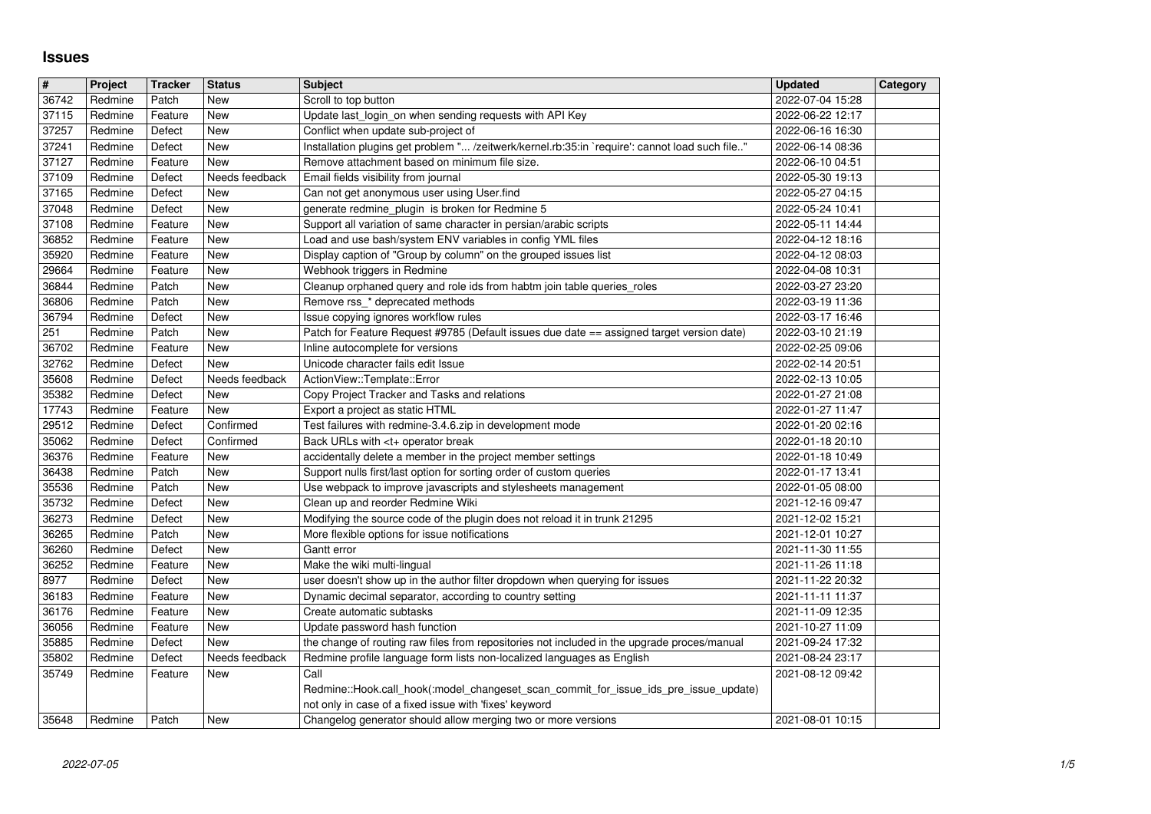## **Issues**

| #              | Project            | <b>Tracker</b>     | <b>Status</b>         | <b>Subject</b>                                                                                                                        | <b>Updated</b>                       | Category |
|----------------|--------------------|--------------------|-----------------------|---------------------------------------------------------------------------------------------------------------------------------------|--------------------------------------|----------|
| 36742          | Redmine            | Patch              | New                   | Scroll to top button                                                                                                                  | 2022-07-04 15:28                     |          |
| 37115          | Redmine            | Feature            | New                   | Update last login on when sending requests with API Key                                                                               | 2022-06-22 12:17                     |          |
| 37257<br>37241 | Redmine<br>Redmine | Defect<br>Defect   | New<br>New            | Conflict when update sub-project of<br>Installation plugins get problem " /zeitwerk/kernel.rb:35:in `require': cannot load such file" | 2022-06-16 16:30<br>2022-06-14 08:36 |          |
| 37127          | Redmine            | Feature            | New                   | Remove attachment based on minimum file size.                                                                                         | 2022-06-10 04:51                     |          |
| 37109          | Redmine            | Defect             | Needs feedback        | Email fields visibility from journal                                                                                                  | 2022-05-30 19:13                     |          |
| 37165<br>37048 | Redmine<br>Redmine | Defect<br>Defect   | New<br>New            | Can not get anonymous user using User.find<br>generate redmine_plugin is broken for Redmine 5                                         | 2022-05-27 04:15<br>2022-05-24 10:41 |          |
| 37108          | Redmine            | Feature            | New                   | Support all variation of same character in persian/arabic scripts                                                                     | 2022-05-11 14:44                     |          |
| 36852          | Redmine            | Feature            | <b>New</b>            | Load and use bash/system ENV variables in config YML files                                                                            | 2022-04-12 18:16                     |          |
| 35920          | Redmine            | Feature            | New                   | Display caption of "Group by column" on the grouped issues list                                                                       | 2022-04-12 08:03                     |          |
| 29664<br>36844 | Redmine<br>Redmine | Feature<br>Patch   | New<br>New            | Webhook triggers in Redmine<br>Cleanup orphaned query and role ids from habtm join table queries_roles                                | 2022-04-08 10:31<br>2022-03-27 23:20 |          |
| 36806          | Redmine            | Patch              | New                   | Remove rss_* deprecated methods                                                                                                       | 2022-03-19 11:36                     |          |
| 36794          | Redmine            | Defect             | New                   | Issue copying ignores workflow rules                                                                                                  | 2022-03-17 16:46                     |          |
| 251<br>36702   | Redmine<br>Redmine | Patch<br>Feature   | New<br>New            | Patch for Feature Request #9785 (Default issues due date == assigned target version date)<br>Inline autocomplete for versions         | 2022-03-10 21:19<br>2022-02-25 09:06 |          |
| 32762          | Redmine            | Defect             | New                   | Unicode character fails edit Issue                                                                                                    | 2022-02-14 20:51                     |          |
| 35608          | Redmine            | Defect             | Needs feedback        | ActionView::Template::Error                                                                                                           | 2022-02-13 10:05                     |          |
| 35382<br>17743 | Redmine<br>Redmine | Defect<br>Feature  | New<br>New            | Copy Project Tracker and Tasks and relations<br>Export a project as static HTML                                                       | 2022-01-27 21:08<br>2022-01-27 11:47 |          |
| 29512          | Redmine            | Defect             | Confirmed             | Test failures with redmine-3.4.6.zip in development mode                                                                              | 2022-01-20 02:16                     |          |
| 35062          | Redmine            | Defect             | Confirmed             | Back URLs with <t+ break<="" operator="" td=""><td>2022-01-18 20:10</td><td></td></t+>                                                | 2022-01-18 20:10                     |          |
| 36376<br>36438 | Redmine<br>Redmine | Feature<br>Patch   | New<br>New            | accidentally delete a member in the project member settings<br>Support nulls first/last option for sorting order of custom queries    | 2022-01-18 10:49<br>2022-01-17 13:41 |          |
| 35536          | Redmine            | Patch              | New                   | Use webpack to improve javascripts and stylesheets management                                                                         | 2022-01-05 08:00                     |          |
| 35732          | Redmine            | Defect             | New                   | Clean up and reorder Redmine Wiki                                                                                                     | 2021-12-16 09:47                     |          |
| 36273          | Redmine            | Defect             | New                   | Modifying the source code of the plugin does not reload it in trunk 21295                                                             | 2021-12-02 15:21                     |          |
| 36265<br>36260 | Redmine<br>Redmine | Patch<br>Defect    | New<br>New            | More flexible options for issue notifications<br>Gantt error                                                                          | 2021-12-01 10:27<br>2021-11-30 11:55 |          |
| 36252          | Redmine            | Feature            | New                   | Make the wiki multi-lingual                                                                                                           | 2021-11-26 11:18                     |          |
| 8977           | Redmine            | Defect             | New                   | user doesn't show up in the author filter dropdown when querying for issues                                                           | 2021-11-22 20:32                     |          |
| 36183<br>36176 | Redmine<br>Redmine | Feature<br>Feature | New<br>New            | Dynamic decimal separator, according to country setting<br>Create automatic subtasks                                                  | 2021-11-11 11:37<br>2021-11-09 12:35 |          |
| 36056          | Redmine            | Feature            | New                   | Update password hash function                                                                                                         | 2021-10-27 11:09                     |          |
| 35885          | Redmine            | Defect             | New                   | the change of routing raw files from repositories not included in the upgrade proces/manual                                           | 2021-09-24 17:32                     |          |
| 35802<br>35749 | Redmine<br>Redmine | Defect<br>Feature  | Needs feedback<br>New | Redmine profile language form lists non-localized languages as English<br>Call                                                        | 2021-08-24 23:17<br>2021-08-12 09:42 |          |
|                |                    |                    |                       | Redmine::Hook.call_hook(:model_changeset_scan_commit_for_issue_ids_pre_issue_update)                                                  |                                      |          |
| 35648          | Redmine            | Patch              | New                   | not only in case of a fixed issue with 'fixes' keyword<br>Changelog generator should allow merging two or more versions               | 2021-08-01 10:15                     |          |
|                |                    |                    |                       |                                                                                                                                       |                                      |          |
|                |                    |                    |                       |                                                                                                                                       |                                      |          |
|                |                    |                    |                       |                                                                                                                                       |                                      |          |
|                |                    |                    |                       |                                                                                                                                       |                                      |          |
|                |                    |                    |                       |                                                                                                                                       |                                      |          |
|                |                    |                    |                       |                                                                                                                                       |                                      |          |
|                |                    |                    |                       |                                                                                                                                       |                                      |          |
|                |                    |                    |                       |                                                                                                                                       |                                      |          |
|                |                    |                    |                       |                                                                                                                                       |                                      |          |
|                |                    |                    |                       |                                                                                                                                       |                                      |          |
|                |                    |                    |                       |                                                                                                                                       |                                      |          |
|                |                    |                    |                       |                                                                                                                                       |                                      |          |
|                |                    |                    |                       |                                                                                                                                       |                                      |          |
|                |                    |                    |                       |                                                                                                                                       |                                      |          |
|                |                    |                    |                       |                                                                                                                                       |                                      |          |
|                |                    |                    |                       |                                                                                                                                       |                                      |          |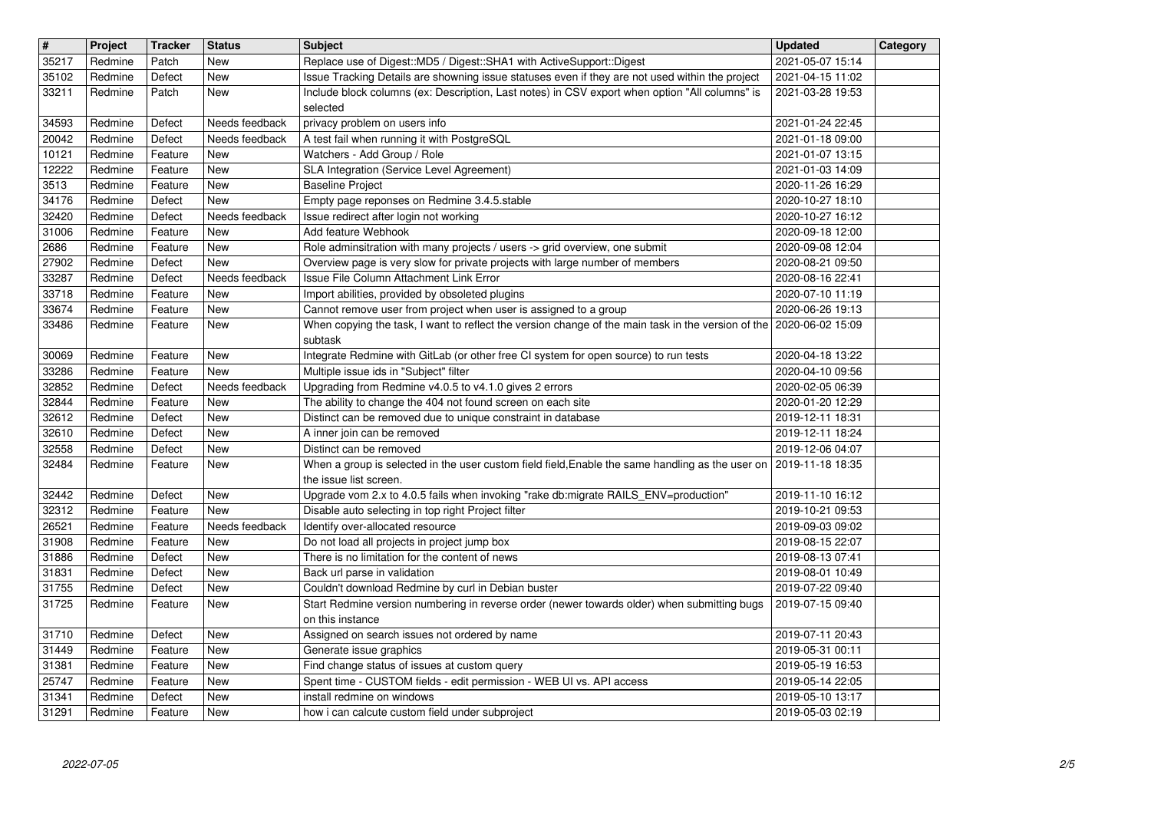| $\overline{\mathbf{H}}$<br>35217 | Project<br>Redmine | <b>Tracker</b><br>Patch | <b>Status</b><br><b>New</b> | <b>Subject</b>                                                                                                                                                             | <b>Updated</b><br>2021-05-07 15:14   | Category |
|----------------------------------|--------------------|-------------------------|-----------------------------|----------------------------------------------------------------------------------------------------------------------------------------------------------------------------|--------------------------------------|----------|
| 35102                            | Redmine            | Defect                  | New                         | Replace use of Digest:: MD5 / Digest:: SHA1 with ActiveSupport:: Digest<br>Issue Tracking Details are showning issue statuses even if they are not used within the project | 2021-04-15 11:02                     |          |
| 33211                            | Redmine            | Patch                   | New                         | Include block columns (ex: Description, Last notes) in CSV export when option "All columns" is<br>selected                                                                 | 2021-03-28 19:53                     |          |
| 34593                            | Redmine            | Defect                  | Needs feedback              | privacy problem on users info                                                                                                                                              | 2021-01-24 22:45                     |          |
| 20042<br>10121                   | Redmine<br>Redmine | Defect<br>Feature       | Needs feedback<br>New       | A test fail when running it with PostgreSQL<br>Watchers - Add Group / Role                                                                                                 | 2021-01-18 09:00<br>2021-01-07 13:15 |          |
| 12222                            | Redmine            | Feature                 | New                         | SLA Integration (Service Level Agreement)                                                                                                                                  | 2021-01-03 14:09                     |          |
| 3513<br>34176                    | Redmine<br>Redmine | Feature<br>Defect       | New<br>New                  | <b>Baseline Project</b><br>Empty page reponses on Redmine 3.4.5.stable                                                                                                     | 2020-11-26 16:29<br>2020-10-27 18:10 |          |
| 32420                            | Redmine            | Defect                  | Needs feedback              | Issue redirect after login not working                                                                                                                                     | 2020-10-27 16:12                     |          |
| 31006<br>2686                    | Redmine<br>Redmine | Feature<br>Feature      | New<br>New                  | Add feature Webhook<br>Role adminsitration with many projects / users -> grid overview, one submit                                                                         | 2020-09-18 12:00<br>2020-09-08 12:04 |          |
| 27902                            | Redmine            | Defect                  | New                         | Overview page is very slow for private projects with large number of members                                                                                               | 2020-08-21 09:50                     |          |
| 33287<br>33718                   | Redmine<br>Redmine | Defect<br>Feature       | Needs feedback<br>New       | Issue File Column Attachment Link Error<br>Import abilities, provided by obsoleted plugins                                                                                 | 2020-08-16 22:41<br>2020-07-10 11:19 |          |
| 33674                            | Redmine            | Feature                 | New                         | Cannot remove user from project when user is assigned to a group                                                                                                           | 2020-06-26 19:13                     |          |
| 33486                            | Redmine            | Feature                 | New                         | When copying the task, I want to reflect the version change of the main task in the version of the 2020-06-02 15:09<br>subtask                                             |                                      |          |
| 30069                            | Redmine            | Feature                 | New                         | Integrate Redmine with GitLab (or other free CI system for open source) to run tests                                                                                       | 2020-04-18 13:22                     |          |
| 33286<br>32852                   | Redmine<br>Redmine | Feature<br>Defect       | New<br>Needs feedback       | Multiple issue ids in "Subject" filter<br>Upgrading from Redmine v4.0.5 to v4.1.0 gives 2 errors                                                                           | 2020-04-10 09:56<br>2020-02-05 06:39 |          |
| 32844                            | Redmine            | Feature                 | New                         | The ability to change the 404 not found screen on each site                                                                                                                | 2020-01-20 12:29                     |          |
| 32612<br>32610                   | Redmine<br>Redmine | Defect<br>Defect        | New<br>New                  | Distinct can be removed due to unique constraint in database<br>A inner join can be removed                                                                                | 2019-12-11 18:31<br>2019-12-11 18:24 |          |
| 32558                            | Redmine            | Defect                  | New                         | Distinct can be removed                                                                                                                                                    | 2019-12-06 04:07                     |          |
| 32484                            | Redmine            | Feature                 | New                         | When a group is selected in the user custom field field, Enable the same handling as the user on<br>the issue list screen.                                                 | 2019-11-18 18:35                     |          |
| 32442<br>32312                   | Redmine            | Defect                  | New<br><b>New</b>           | Upgrade vom 2.x to 4.0.5 fails when invoking "rake db:migrate RAILS_ENV=production"                                                                                        | 2019-11-10 16:12                     |          |
| 26521                            | Redmine<br>Redmine | Feature<br>Feature      | Needs feedback              | Disable auto selecting in top right Project filter<br>Identify over-allocated resource                                                                                     | 2019-10-21 09:53<br>2019-09-03 09:02 |          |
| 31908                            | Redmine            | Feature                 | New                         | Do not load all projects in project jump box                                                                                                                               | 2019-08-15 22:07                     |          |
| 31886<br>31831                   | Redmine<br>Redmine | Defect<br>Defect        | New<br>New                  | There is no limitation for the content of news<br>Back url parse in validation                                                                                             | 2019-08-13 07:41<br>2019-08-01 10:49 |          |
| 31755<br>31725                   | Redmine<br>Redmine | Defect<br>Feature       | New<br>New                  | Couldn't download Redmine by curl in Debian buster<br>Start Redmine version numbering in reverse order (newer towards older) when submitting bugs                          | 2019-07-22 09:40<br>2019-07-15 09:40 |          |
|                                  |                    |                         |                             | on this instance                                                                                                                                                           |                                      |          |
| 31710<br>31449                   | Redmine<br>Redmine | Defect<br>Feature       | <b>New</b><br>New           | Assigned on search issues not ordered by name<br>Generate issue graphics                                                                                                   | 2019-07-11 20:43<br>2019-05-31 00:11 |          |
| 31381                            | Redmine            | Feature                 | New                         | Find change status of issues at custom query                                                                                                                               | 2019-05-19 16:53                     |          |
| 25747<br>31341                   | Redmine<br>Redmine | Feature<br>Defect       | <b>New</b><br>New           | Spent time - CUSTOM fields - edit permission - WEB UI vs. API access<br>install redmine on windows                                                                         | 2019-05-14 22:05<br>2019-05-10 13:17 |          |
| 31291                            | Redmine            | Feature                 | New                         | how i can calcute custom field under subproject                                                                                                                            | 2019-05-03 02:19                     |          |
|                                  |                    |                         |                             |                                                                                                                                                                            |                                      |          |
|                                  |                    |                         |                             |                                                                                                                                                                            |                                      |          |
|                                  |                    |                         |                             |                                                                                                                                                                            |                                      |          |
|                                  |                    |                         |                             |                                                                                                                                                                            |                                      |          |
|                                  |                    |                         |                             |                                                                                                                                                                            |                                      |          |
|                                  |                    |                         |                             |                                                                                                                                                                            |                                      |          |
|                                  |                    |                         |                             |                                                                                                                                                                            |                                      |          |
|                                  |                    |                         |                             |                                                                                                                                                                            |                                      |          |
|                                  |                    |                         |                             |                                                                                                                                                                            |                                      |          |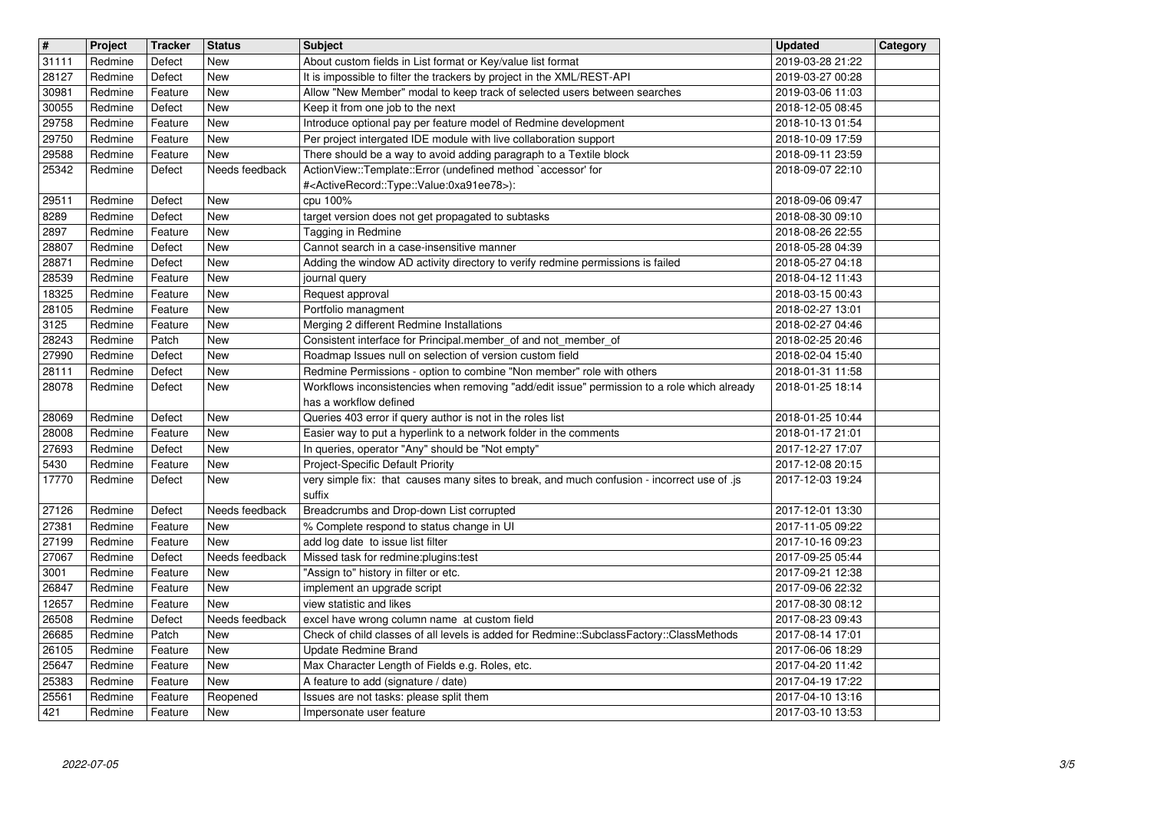| $\overline{\mathbf{H}}$ | Project            | <b>Tracker</b>     | <b>Status</b>            | <b>Subject</b>                                                                                                                                  | <b>Updated</b>                       | Category |
|-------------------------|--------------------|--------------------|--------------------------|-------------------------------------------------------------------------------------------------------------------------------------------------|--------------------------------------|----------|
| 31111 <br>28127         | Redmine<br>Redmine | Defect<br>Defect   | New<br>New               | About custom fields in List format or Key/value list format<br>It is impossible to filter the trackers by project in the XML/REST-API           | 2019-03-28 21:22<br>2019-03-27 00:28 |          |
| 30981                   | Redmine            | Feature            | New                      | Allow "New Member" modal to keep track of selected users between searches                                                                       | 2019-03-06 11:03                     |          |
| 30055<br>29758          | Redmine<br>Redmine | Defect<br>Feature  | New<br>New               | Keep it from one job to the next<br>Introduce optional pay per feature model of Redmine development                                             | 2018-12-05 08:45<br>2018-10-13 01:54 |          |
| 29750                   | Redmine            | Feature            | <b>New</b>               | Per project intergated IDE module with live collaboration support                                                                               | 2018-10-09 17:59                     |          |
| 29588                   | Redmine            | Feature            | New                      | There should be a way to avoid adding paragraph to a Textile block                                                                              | 2018-09-11 23:59                     |          |
| 25342                   | Redmine            | Defect             | Needs feedback           | ActionView::Template::Error (undefined method `accessor' for<br># <activerecord::type::value:0xa91ee78>):</activerecord::type::value:0xa91ee78> | 2018-09-07 22:10                     |          |
| 29511                   | Redmine            | Defect             | New                      | cpu 100%                                                                                                                                        | 2018-09-06 09:47                     |          |
| 8289                    | Redmine            | Defect             | New                      | target version does not get propagated to subtasks                                                                                              | 2018-08-30 09:10                     |          |
| 2897<br>28807           | Redmine<br>Redmine | Feature<br>Defect  | New<br>New               | Tagging in Redmine<br>Cannot search in a case-insensitive manner                                                                                | 2018-08-26 22:55<br>2018-05-28 04:39 |          |
| 28871                   | Redmine            | Defect             | New                      | Adding the window AD activity directory to verify redmine permissions is failed                                                                 | 2018-05-27 04:18                     |          |
| 28539<br>18325          | Redmine<br>Redmine | Feature<br>Feature | <b>New</b><br><b>New</b> | journal query<br>Request approval                                                                                                               | 2018-04-12 11:43<br>2018-03-15 00:43 |          |
| 28105                   | Redmine            | Feature            | <b>New</b>               | Portfolio managment                                                                                                                             | 2018-02-27 13:01                     |          |
| 3125                    | Redmine            | Feature            | <b>New</b>               | Merging 2 different Redmine Installations                                                                                                       | 2018-02-27 04:46                     |          |
| 28243<br>27990          | Redmine<br>Redmine | Patch<br>Defect    | New<br>New               | Consistent interface for Principal.member_of and not_member_of<br>Roadmap Issues null on selection of version custom field                      | 2018-02-25 20:46<br>2018-02-04 15:40 |          |
| 28111                   | Redmine            | Defect             | New                      | Redmine Permissions - option to combine "Non member" role with others                                                                           | 2018-01-31 11:58                     |          |
| 28078                   | Redmine            | Defect             | New                      | Workflows inconsistencies when removing "add/edit issue" permission to a role which already                                                     | 2018-01-25 18:14                     |          |
| 28069                   | Redmine            | Defect             | <b>New</b>               | has a workflow defined<br>Queries 403 error if query author is not in the roles list                                                            | 2018-01-25 10:44                     |          |
| 28008                   | Redmine            | Feature            | <b>New</b>               | Easier way to put a hyperlink to a network folder in the comments                                                                               | 2018-01-17 21:01                     |          |
| 27693                   | Redmine            | Defect             | New                      | In queries, operator "Any" should be "Not empty"                                                                                                | 2017-12-27 17:07                     |          |
| 5430<br>17770           | Redmine<br>Redmine | Feature<br>Defect  | New<br>New               | Project-Specific Default Priority<br>very simple fix: that causes many sites to break, and much confusion - incorrect use of .js                | 2017-12-08 20:15<br>2017-12-03 19:24 |          |
|                         |                    |                    |                          | suffix                                                                                                                                          |                                      |          |
| 27126                   | Redmine            | Defect             | Needs feedback           | Breadcrumbs and Drop-down List corrupted                                                                                                        | 2017-12-01 13:30                     |          |
| 27381<br>27199          | Redmine<br>Redmine | Feature<br>Feature | New<br>New               | % Complete respond to status change in UI<br>add log date to issue list filter                                                                  | 2017-11-05 09:22<br>2017-10-16 09:23 |          |
| 27067                   | Redmine            | Defect             | Needs feedback           | Missed task for redmine:plugins:test                                                                                                            | 2017-09-25 05:44                     |          |
| 3001<br>26847           | Redmine<br>Redmine | Feature<br>Feature | New<br>New               | "Assign to" history in filter or etc.<br>implement an upgrade script                                                                            | 2017-09-21 12:38<br>2017-09-06 22:32 |          |
| 12657                   | Redmine            | Feature            | New                      | view statistic and likes                                                                                                                        | 2017-08-30 08:12                     |          |
| 26508                   | Redmine            | Defect             | Needs feedback           | excel have wrong column name at custom field                                                                                                    | 2017-08-23 09:43                     |          |
| 26685<br>26105          | Redmine<br>Redmine | Patch<br>Feature   | <b>New</b><br>New        | Check of child classes of all levels is added for Redmine::SubclassFactory::ClassMethods<br>Update Redmine Brand                                | 2017-08-14 17:01<br>2017-06-06 18:29 |          |
| 25647                   | Redmine            | Feature            | New                      | Max Character Length of Fields e.g. Roles, etc.                                                                                                 | 2017-04-20 11:42                     |          |
| 25383                   | Redmine            | Feature            | New                      | A feature to add (signature / date)                                                                                                             | 2017-04-19 17:22                     |          |
| 25561<br>421            | Redmine<br>Redmine | Feature<br>Feature | Reopened<br>New          | Issues are not tasks: please split them<br>Impersonate user feature                                                                             | 2017-04-10 13:16<br>2017-03-10 13:53 |          |
|                         |                    |                    |                          |                                                                                                                                                 |                                      |          |
|                         |                    |                    |                          |                                                                                                                                                 |                                      |          |
|                         |                    |                    |                          |                                                                                                                                                 |                                      |          |
|                         |                    |                    |                          |                                                                                                                                                 |                                      |          |
|                         |                    |                    |                          |                                                                                                                                                 |                                      |          |
|                         |                    |                    |                          |                                                                                                                                                 |                                      |          |
|                         |                    |                    |                          |                                                                                                                                                 |                                      |          |
|                         |                    |                    |                          |                                                                                                                                                 |                                      |          |
|                         |                    |                    |                          |                                                                                                                                                 |                                      |          |
|                         |                    |                    |                          |                                                                                                                                                 |                                      |          |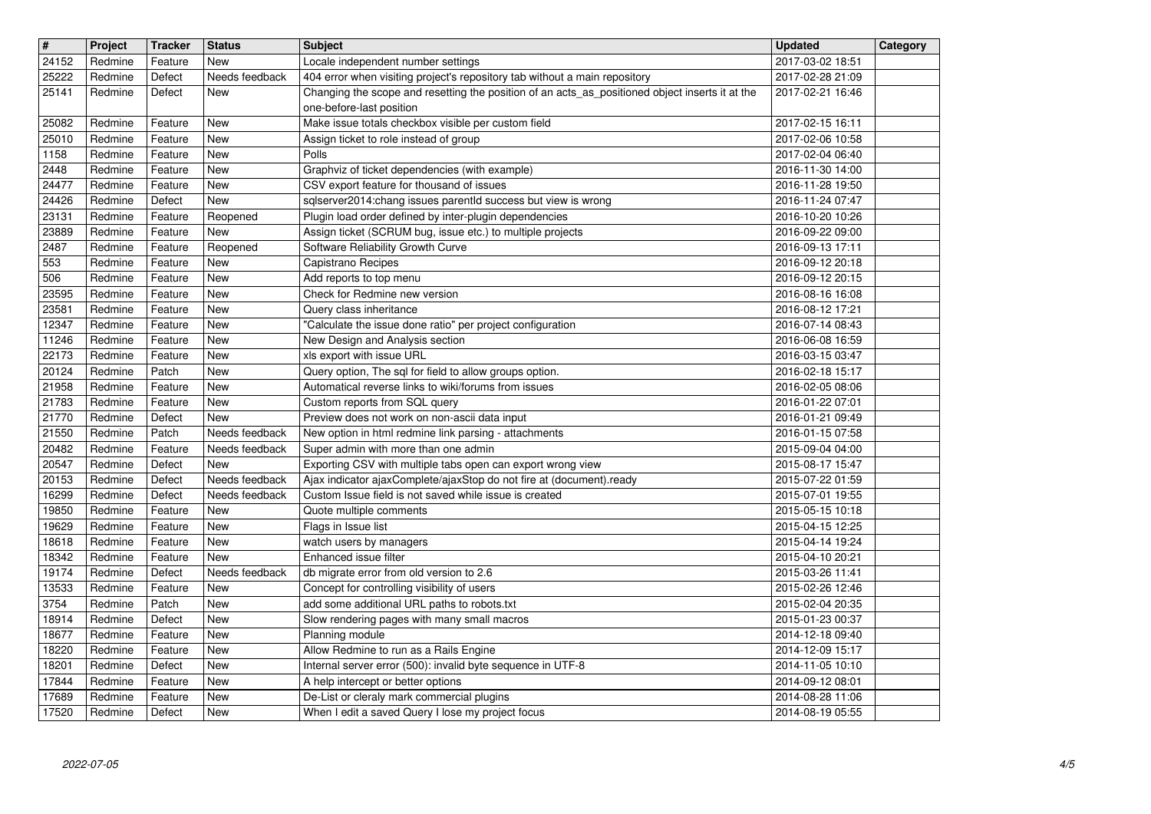| $\overline{\mathbf{H}}$ | Project            | <b>Tracker</b>     | <b>Status</b>                | <b>Subject</b>                                                                                                                                                                | <b>Updated</b>                       | Category |
|-------------------------|--------------------|--------------------|------------------------------|-------------------------------------------------------------------------------------------------------------------------------------------------------------------------------|--------------------------------------|----------|
| 24152                   | Redmine            | Feature            | New                          | Locale independent number settings                                                                                                                                            | 2017-03-02 18:51<br>2017-02-28 21:09 |          |
| 25222<br>25141          | Redmine<br>Redmine | Defect<br>Defect   | Needs feedback<br>New        | 404 error when visiting project's repository tab without a main repository<br>Changing the scope and resetting the position of an acts_as_positioned object inserts it at the | 2017-02-21 16:46                     |          |
|                         |                    |                    |                              | one-before-last position                                                                                                                                                      |                                      |          |
| 25082                   | Redmine            | Feature            | <b>New</b>                   | Make issue totals checkbox visible per custom field                                                                                                                           | 2017-02-15 16:11                     |          |
| 25010<br>1158           | Redmine<br>Redmine | Feature<br>Feature | <b>New</b><br><b>New</b>     | Assign ticket to role instead of group<br>Polls                                                                                                                               | 2017-02-06 10:58<br>2017-02-04 06:40 |          |
| 2448                    | Redmine            | Feature            | <b>New</b>                   | Graphviz of ticket dependencies (with example)                                                                                                                                | 2016-11-30 14:00                     |          |
| 24477                   | Redmine            | Feature            | New                          | CSV export feature for thousand of issues                                                                                                                                     | 2016-11-28 19:50                     |          |
| 24426<br>23131          | Redmine<br>Redmine | Defect<br>Feature  | New<br>Reopened              | sqlserver2014:chang issues parentld success but view is wrong<br>Plugin load order defined by inter-plugin dependencies                                                       | 2016-11-24 07:47<br>2016-10-20 10:26 |          |
| 23889                   | Redmine            | Feature            | New                          | Assign ticket (SCRUM bug, issue etc.) to multiple projects                                                                                                                    | 2016-09-22 09:00                     |          |
| 2487                    | Redmine            | Feature            | Reopened                     | Software Reliability Growth Curve                                                                                                                                             | 2016-09-13 17:11                     |          |
| 553                     | Redmine            | Feature            | New                          | Capistrano Recipes                                                                                                                                                            | 2016-09-12 20:18                     |          |
| 506<br>23595            | Redmine<br>Redmine | Feature<br>Feature | <b>New</b><br><b>New</b>     | Add reports to top menu<br>Check for Redmine new version                                                                                                                      | 2016-09-12 20:15<br>2016-08-16 16:08 |          |
| 23581                   | Redmine            | Feature            | <b>New</b>                   | Query class inheritance                                                                                                                                                       | 2016-08-12 17:21                     |          |
| 12347                   | Redmine            | Feature            | <b>New</b>                   | "Calculate the issue done ratio" per project configuration                                                                                                                    | 2016-07-14 08:43                     |          |
| 11246<br>22173          | Redmine<br>Redmine | Feature<br>Feature | New<br><b>New</b>            | New Design and Analysis section<br>xls export with issue URL                                                                                                                  | 2016-06-08 16:59<br>2016-03-15 03:47 |          |
| 20124                   | Redmine            | Patch              | New                          | Query option, The sql for field to allow groups option.                                                                                                                       | 2016-02-18 15:17                     |          |
| 21958                   | Redmine            | Feature            | <b>New</b>                   | Automatical reverse links to wiki/forums from issues                                                                                                                          | 2016-02-05 08:06                     |          |
| 21783<br>21770          | Redmine<br>Redmine | Feature<br>Defect  | <b>New</b><br>New            | Custom reports from SQL query<br>Preview does not work on non-ascii data input                                                                                                | 2016-01-22 07:01<br>2016-01-21 09:49 |          |
| 21550                   | Redmine            | Patch              | Needs feedback               | New option in html redmine link parsing - attachments                                                                                                                         | 2016-01-15 07:58                     |          |
| 20482                   | Redmine            | Feature            | Needs feedback               | Super admin with more than one admin                                                                                                                                          | 2015-09-04 04:00                     |          |
| 20547<br>20153          | Redmine<br>Redmine | Defect<br>Defect   | New<br>Needs feedback        | Exporting CSV with multiple tabs open can export wrong view<br>Ajax indicator ajaxComplete/ajaxStop do not fire at (document).ready                                           | 2015-08-17 15:47<br>2015-07-22 01:59 |          |
| 16299                   | Redmine            | Defect             | Needs feedback               | Custom Issue field is not saved while issue is created                                                                                                                        | 2015-07-01 19:55                     |          |
| 19850                   | Redmine            | Feature            | New                          | Quote multiple comments                                                                                                                                                       | 2015-05-15 10:18                     |          |
| 19629<br>18618          | Redmine<br>Redmine | Feature<br>Feature | New<br><b>New</b>            | Flags in Issue list<br>watch users by managers                                                                                                                                | 2015-04-15 12:25<br>2015-04-14 19:24 |          |
| 18342                   | Redmine            | Feature            | New                          | Enhanced issue filter                                                                                                                                                         | 2015-04-10 20:21                     |          |
| 19174<br>13533          | Redmine<br>Redmine | Defect<br>Feature  | Needs feedback<br><b>New</b> | db migrate error from old version to 2.6<br>Concept for controlling visibility of users                                                                                       | 2015-03-26 11:41<br>2015-02-26 12:46 |          |
| 3754                    | Redmine            | Patch              | <b>New</b>                   | add some additional URL paths to robots.txt                                                                                                                                   | 2015-02-04 20:35                     |          |
| 18914                   | Redmine            | Defect             | <b>New</b>                   | Slow rendering pages with many small macros                                                                                                                                   | 2015-01-23 00:37                     |          |
| 18677<br>18220          | Redmine<br>Redmine | Feature<br>Feature | New<br>New                   | Planning module<br>Allow Redmine to run as a Rails Engine                                                                                                                     | 2014-12-18 09:40<br>2014-12-09 15:17 |          |
| 18201                   | Redmine            | Defect             | <b>New</b>                   | Internal server error (500): invalid byte sequence in UTF-8                                                                                                                   | 2014-11-05 10:10                     |          |
| 17844<br>17689          | Redmine<br>Redmine | Feature<br>Feature | New<br>New                   | A help intercept or better options<br>De-List or cleraly mark commercial plugins                                                                                              | 2014-09-12 08:01<br>2014-08-28 11:06 |          |
| 17520                   | Redmine            | Defect             | New                          | When I edit a saved Query I lose my project focus                                                                                                                             | 2014-08-19 05:55                     |          |
|                         |                    |                    |                              |                                                                                                                                                                               |                                      |          |
|                         |                    |                    |                              |                                                                                                                                                                               |                                      |          |
|                         |                    |                    |                              |                                                                                                                                                                               |                                      |          |
|                         |                    |                    |                              |                                                                                                                                                                               |                                      |          |
|                         |                    |                    |                              |                                                                                                                                                                               |                                      |          |
|                         |                    |                    |                              |                                                                                                                                                                               |                                      |          |
|                         |                    |                    |                              |                                                                                                                                                                               |                                      |          |
|                         |                    |                    |                              |                                                                                                                                                                               |                                      |          |
|                         |                    |                    |                              |                                                                                                                                                                               |                                      |          |
|                         |                    |                    |                              |                                                                                                                                                                               |                                      |          |
|                         |                    |                    |                              |                                                                                                                                                                               |                                      |          |